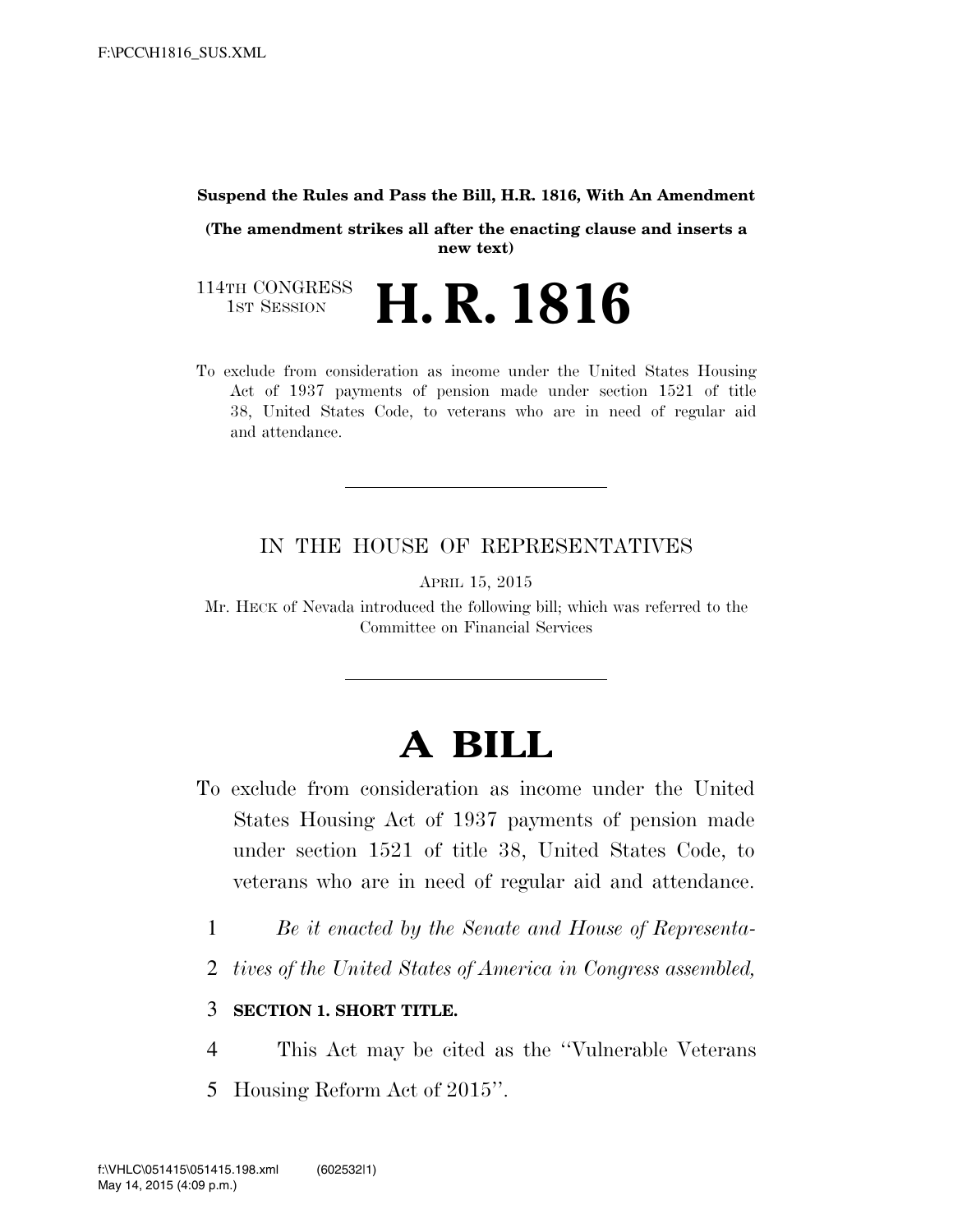#### **Suspend the Rules and Pass the Bill, H.R. 1816, With An Amendment**

**(The amendment strikes all after the enacting clause and inserts a new text)** 

114TH CONGRESS<br>1st Session **H. R. 1816** 

To exclude from consideration as income under the United States Housing Act of 1937 payments of pension made under section 1521 of title 38, United States Code, to veterans who are in need of regular aid and attendance.

#### IN THE HOUSE OF REPRESENTATIVES

APRIL 15, 2015

Mr. HECK of Nevada introduced the following bill; which was referred to the Committee on Financial Services

# **A BILL**

- To exclude from consideration as income under the United States Housing Act of 1937 payments of pension made under section 1521 of title 38, United States Code, to veterans who are in need of regular aid and attendance.
	- 1 *Be it enacted by the Senate and House of Representa-*
	- 2 *tives of the United States of America in Congress assembled,*

### 3 **SECTION 1. SHORT TITLE.**

- 4 This Act may be cited as the ''Vulnerable Veterans
- 5 Housing Reform Act of 2015''.